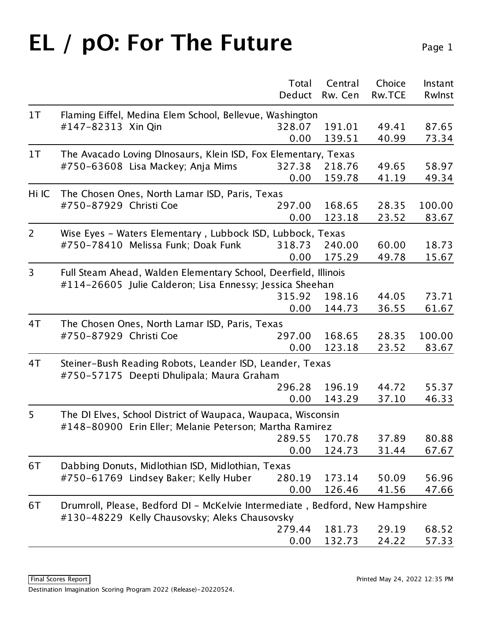## **EL / pO: For The Future** Page 1

|                |                                                                                                                               | Total<br>Deduct | Central<br>Rw. Cen | Choice<br><b>Rw.TCE</b> | Instant<br>Rwlnst |  |  |
|----------------|-------------------------------------------------------------------------------------------------------------------------------|-----------------|--------------------|-------------------------|-------------------|--|--|
| 1 <sub>T</sub> | Flaming Eiffel, Medina Elem School, Bellevue, Washington                                                                      |                 |                    |                         |                   |  |  |
|                | #147-82313 Xin Qin                                                                                                            | 328.07          | 191.01             | 49.41                   | 87.65             |  |  |
|                |                                                                                                                               | 0.00            | 139.51             | 40.99                   | 73.34             |  |  |
| 1 <sub>T</sub> | The Avacado Loving DInosaurs, Klein ISD, Fox Elementary, Texas                                                                |                 |                    |                         |                   |  |  |
|                | #750-63608 Lisa Mackey; Anja Mims                                                                                             | 327.38          | 218.76             | 49.65                   | 58.97             |  |  |
|                |                                                                                                                               | 0.00            | 159.78             | 41.19                   | 49.34             |  |  |
| Hi IC          | The Chosen Ones, North Lamar ISD, Paris, Texas                                                                                |                 |                    |                         |                   |  |  |
|                | #750-87929 Christi Coe                                                                                                        | 297.00          | 168.65             | 28.35                   | 100.00            |  |  |
|                |                                                                                                                               | 0.00            | 123.18             | 23.52                   | 83.67             |  |  |
| $\overline{2}$ | Wise Eyes - Waters Elementary, Lubbock ISD, Lubbock, Texas                                                                    |                 |                    |                         |                   |  |  |
|                | #750-78410 Melissa Funk; Doak Funk                                                                                            | 318.73          | 240.00             | 60.00                   | 18.73             |  |  |
|                |                                                                                                                               | 0.00            | 175.29             | 49.78                   | 15.67             |  |  |
| 3              | Full Steam Ahead, Walden Elementary School, Deerfield, Illinois                                                               |                 |                    |                         |                   |  |  |
|                | #114-26605 Julie Calderon; Lisa Ennessy; Jessica Sheehan                                                                      |                 |                    |                         |                   |  |  |
|                |                                                                                                                               | 315.92          | 198.16             | 44.05                   | 73.71             |  |  |
|                |                                                                                                                               | 0.00            | 144.73             | 36.55                   | 61.67             |  |  |
| 4T             | The Chosen Ones, North Lamar ISD, Paris, Texas                                                                                |                 |                    |                         |                   |  |  |
|                | #750-87929 Christi Coe                                                                                                        | 297.00          | 168.65             | 28.35                   | 100.00            |  |  |
|                |                                                                                                                               | 0.00            | 123.18             | 23.52                   | 83.67             |  |  |
| 4T             | Steiner-Bush Reading Robots, Leander ISD, Leander, Texas<br>#750-57175 Deepti Dhulipala; Maura Graham                         |                 |                    |                         |                   |  |  |
|                |                                                                                                                               | 296.28          | 196.19             | 44.72                   | 55.37             |  |  |
|                |                                                                                                                               | 0.00            | 143.29             | 37.10                   | 46.33             |  |  |
| 5              | The DI Elves, School District of Waupaca, Waupaca, Wisconsin<br>#148-80900 Erin Eller; Melanie Peterson; Martha Ramirez       |                 |                    |                         |                   |  |  |
|                |                                                                                                                               | 289.55          | 170.78             | 37.89                   | 80.88             |  |  |
|                |                                                                                                                               | 0.00            | 124.73             | 31.44                   | 67.67             |  |  |
| 6T             | Dabbing Donuts, Midlothian ISD, Midlothian, Texas                                                                             |                 |                    |                         |                   |  |  |
|                | #750-61769 Lindsey Baker; Kelly Huber                                                                                         | 280.19          | 173.14             | 50.09                   | 56.96             |  |  |
|                |                                                                                                                               | 0.00            | 126.46             | 41.56                   | 47.66             |  |  |
| 6T             | Drumroll, Please, Bedford DI - McKelvie Intermediate, Bedford, New Hampshire<br>#130-48229 Kelly Chausovsky; Aleks Chausovsky |                 |                    |                         |                   |  |  |
|                |                                                                                                                               | 279.44          | 181.73             | 29.19                   | 68.52             |  |  |
|                |                                                                                                                               | 0.00            | 132.73             | 24.22                   | 57.33             |  |  |
|                |                                                                                                                               |                 |                    |                         |                   |  |  |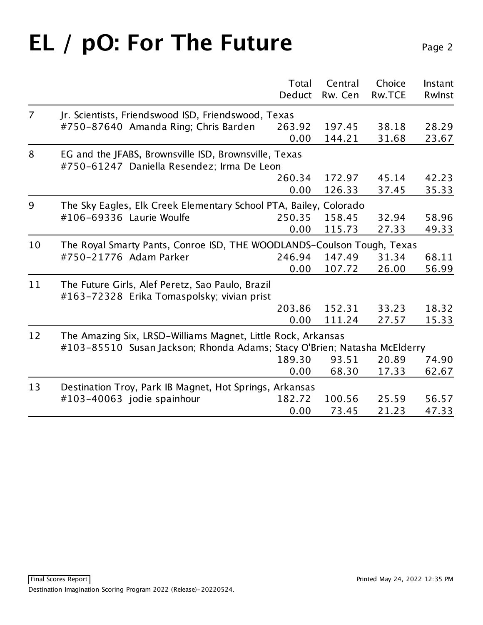# **EL / pO: For The Future** Page 2

|                |                                                                                                                                          | Total  | Central | Choice        | Instant |
|----------------|------------------------------------------------------------------------------------------------------------------------------------------|--------|---------|---------------|---------|
|                |                                                                                                                                          | Deduct | Rw. Cen | <b>Rw.TCE</b> | Rwlnst  |
| $\overline{7}$ | Jr. Scientists, Friendswood ISD, Friendswood, Texas                                                                                      |        |         |               |         |
|                | #750-87640 Amanda Ring; Chris Barden                                                                                                     | 263.92 | 197.45  | 38.18         | 28.29   |
|                |                                                                                                                                          | 0.00   | 144.21  | 31.68         | 23.67   |
| 8              | EG and the JFABS, Brownsville ISD, Brownsville, Texas<br>#750-61247 Daniella Resendez; Irma De Leon                                      |        |         |               |         |
|                |                                                                                                                                          | 260.34 | 172.97  | 45.14         | 42.23   |
|                |                                                                                                                                          | 0.00   | 126.33  | 37.45         | 35.33   |
| 9              | The Sky Eagles, Elk Creek Elementary School PTA, Bailey, Colorado                                                                        |        |         |               |         |
|                | #106-69336 Laurie Woulfe                                                                                                                 | 250.35 | 158.45  | 32.94         | 58.96   |
|                |                                                                                                                                          | 0.00   | 115.73  | 27.33         | 49.33   |
| 10             | The Royal Smarty Pants, Conroe ISD, THE WOODLANDS-Coulson Tough, Texas                                                                   |        |         |               |         |
|                | #750-21776 Adam Parker                                                                                                                   | 246.94 | 147.49  | 31.34         | 68.11   |
|                |                                                                                                                                          | 0.00   | 107.72  | 26.00         | 56.99   |
| 11             | The Future Girls, Alef Peretz, Sao Paulo, Brazil<br>#163-72328 Erika Tomaspolsky; vivian prist                                           |        |         |               |         |
|                |                                                                                                                                          | 203.86 | 152.31  | 33.23         | 18.32   |
|                |                                                                                                                                          | 0.00   | 111.24  | 27.57         | 15.33   |
| 12             | The Amazing Six, LRSD-Williams Magnet, Little Rock, Arkansas<br>#103-85510 Susan Jackson; Rhonda Adams; Stacy O'Brien; Natasha McElderry |        |         |               |         |
|                |                                                                                                                                          | 189.30 | 93.51   | 20.89         | 74.90   |
|                |                                                                                                                                          | 0.00   | 68.30   | 17.33         | 62.67   |
|                |                                                                                                                                          |        |         |               |         |
| 13             | Destination Troy, Park IB Magnet, Hot Springs, Arkansas                                                                                  |        |         |               |         |
|                | #103-40063 jodie spainhour                                                                                                               | 182.72 | 100.56  | 25.59         | 56.57   |
|                |                                                                                                                                          | 0.00   | 73.45   | 21.23         | 47.33   |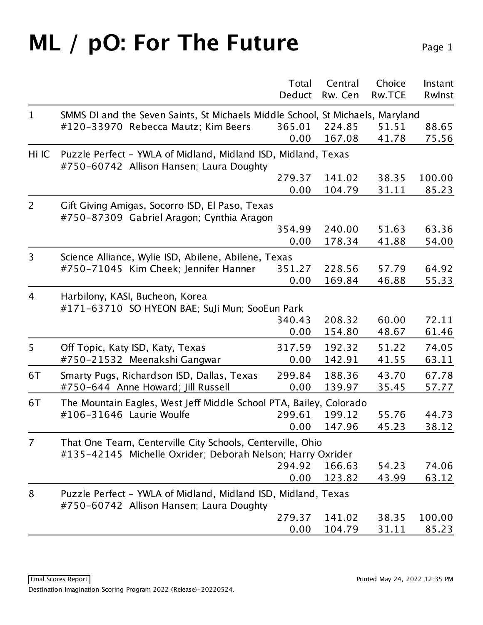### **ML** / pO: For The Future Page 1

|                |                                                                                                                          | Total  | Central | Choice        | Instant |
|----------------|--------------------------------------------------------------------------------------------------------------------------|--------|---------|---------------|---------|
|                |                                                                                                                          | Deduct | Rw. Cen | <b>Rw.TCE</b> | Rwlnst  |
| $\mathbf 1$    | SMMS DI and the Seven Saints, St Michaels Middle School, St Michaels, Maryland                                           |        |         |               |         |
|                | #120-33970 Rebecca Mautz; Kim Beers                                                                                      | 365.01 | 224.85  | 51.51         | 88.65   |
|                |                                                                                                                          | 0.00   | 167.08  | 41.78         | 75.56   |
| Hi IC          | Puzzle Perfect - YWLA of Midland, Midland ISD, Midland, Texas<br>#750-60742 Allison Hansen; Laura Doughty                |        |         |               |         |
|                |                                                                                                                          | 279.37 | 141.02  | 38.35         | 100.00  |
|                |                                                                                                                          | 0.00   | 104.79  | 31.11         | 85.23   |
| $\overline{2}$ | Gift Giving Amigas, Socorro ISD, El Paso, Texas<br>#750-87309 Gabriel Aragon; Cynthia Aragon                             |        |         |               |         |
|                |                                                                                                                          | 354.99 | 240.00  | 51.63         | 63.36   |
|                |                                                                                                                          | 0.00   | 178.34  | 41.88         | 54.00   |
| 3              | Science Alliance, Wylie ISD, Abilene, Abilene, Texas                                                                     |        |         |               |         |
|                | #750-71045 Kim Cheek; Jennifer Hanner                                                                                    | 351.27 | 228.56  | 57.79         | 64.92   |
|                |                                                                                                                          | 0.00   | 169.84  | 46.88         | 55.33   |
| 4              | Harbilony, KASI, Bucheon, Korea<br>#171-63710 SO HYEON BAE; SuJi Mun; SooEun Park                                        |        |         |               |         |
|                |                                                                                                                          | 340.43 | 208.32  | 60.00         | 72.11   |
|                |                                                                                                                          | 0.00   | 154.80  | 48.67         | 61.46   |
| 5              | Off Topic, Katy ISD, Katy, Texas                                                                                         | 317.59 | 192.32  | 51.22         | 74.05   |
|                | #750-21532 Meenakshi Gangwar                                                                                             | 0.00   | 142.91  | 41.55         | 63.11   |
| 6T             | Smarty Pugs, Richardson ISD, Dallas, Texas                                                                               | 299.84 | 188.36  | 43.70         | 67.78   |
|                | #750-644 Anne Howard; Jill Russell                                                                                       | 0.00   | 139.97  | 35.45         | 57.77   |
| 6T             | The Mountain Eagles, West Jeff Middle School PTA, Bailey, Colorado                                                       |        |         |               |         |
|                | #106-31646 Laurie Woulfe                                                                                                 | 299.61 | 199.12  | 55.76         | 44.73   |
|                |                                                                                                                          | 0.00   | 147.96  | 45.23         | 38.12   |
| $\overline{7}$ | That One Team, Centerville City Schools, Centerville, Ohio<br>#135-42145 Michelle Oxrider; Deborah Nelson; Harry Oxrider |        |         |               |         |
|                |                                                                                                                          | 294.92 | 166.63  | 54.23         | 74.06   |
|                |                                                                                                                          | 0.00   | 123.82  | 43.99         | 63.12   |
| 8              | Puzzle Perfect - YWLA of Midland, Midland ISD, Midland, Texas<br>#750-60742 Allison Hansen; Laura Doughty                |        |         |               |         |
|                |                                                                                                                          | 279.37 | 141.02  | 38.35         | 100.00  |
|                |                                                                                                                          | 0.00   | 104.79  | 31.11         | 85.23   |
|                |                                                                                                                          |        |         |               |         |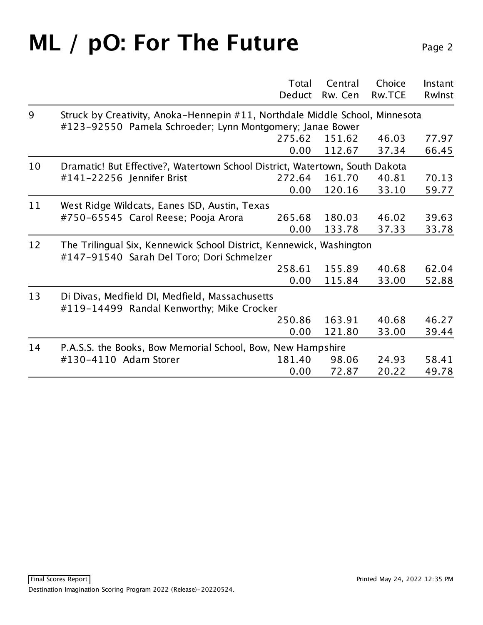#### **ML** / pO: For The Future Page 2

|                       | Total                                                            | Central                                                                                                                                                                                                                                 | Choice                                                                                                                                                                     | Instant                                                                                                                                                                                                                                                                           |  |
|-----------------------|------------------------------------------------------------------|-----------------------------------------------------------------------------------------------------------------------------------------------------------------------------------------------------------------------------------------|----------------------------------------------------------------------------------------------------------------------------------------------------------------------------|-----------------------------------------------------------------------------------------------------------------------------------------------------------------------------------------------------------------------------------------------------------------------------------|--|
|                       | Deduct                                                           | Rw. Cen                                                                                                                                                                                                                                 | <b>Rw.TCE</b>                                                                                                                                                              | Rwlnst                                                                                                                                                                                                                                                                            |  |
|                       |                                                                  |                                                                                                                                                                                                                                         |                                                                                                                                                                            |                                                                                                                                                                                                                                                                                   |  |
|                       | 275.62                                                           | 151.62                                                                                                                                                                                                                                  | 46.03                                                                                                                                                                      | 77.97                                                                                                                                                                                                                                                                             |  |
|                       |                                                                  |                                                                                                                                                                                                                                         |                                                                                                                                                                            | 66.45                                                                                                                                                                                                                                                                             |  |
|                       |                                                                  |                                                                                                                                                                                                                                         |                                                                                                                                                                            |                                                                                                                                                                                                                                                                                   |  |
|                       |                                                                  |                                                                                                                                                                                                                                         |                                                                                                                                                                            | 70.13                                                                                                                                                                                                                                                                             |  |
|                       |                                                                  |                                                                                                                                                                                                                                         |                                                                                                                                                                            | 59.77                                                                                                                                                                                                                                                                             |  |
|                       |                                                                  |                                                                                                                                                                                                                                         |                                                                                                                                                                            |                                                                                                                                                                                                                                                                                   |  |
|                       | 265.68                                                           | 180.03                                                                                                                                                                                                                                  | 46.02                                                                                                                                                                      | 39.63                                                                                                                                                                                                                                                                             |  |
|                       | 0.00                                                             | 133.78                                                                                                                                                                                                                                  | 37.33                                                                                                                                                                      | 33.78                                                                                                                                                                                                                                                                             |  |
|                       |                                                                  |                                                                                                                                                                                                                                         |                                                                                                                                                                            |                                                                                                                                                                                                                                                                                   |  |
|                       |                                                                  |                                                                                                                                                                                                                                         |                                                                                                                                                                            | 62.04                                                                                                                                                                                                                                                                             |  |
|                       | 0.00                                                             | 115.84                                                                                                                                                                                                                                  | 33.00                                                                                                                                                                      | 52.88                                                                                                                                                                                                                                                                             |  |
|                       |                                                                  |                                                                                                                                                                                                                                         |                                                                                                                                                                            |                                                                                                                                                                                                                                                                                   |  |
|                       |                                                                  |                                                                                                                                                                                                                                         |                                                                                                                                                                            | 46.27                                                                                                                                                                                                                                                                             |  |
|                       | 0.00                                                             | 121.80                                                                                                                                                                                                                                  | 33.00                                                                                                                                                                      | 39.44                                                                                                                                                                                                                                                                             |  |
|                       |                                                                  |                                                                                                                                                                                                                                         |                                                                                                                                                                            |                                                                                                                                                                                                                                                                                   |  |
| #130-4110 Adam Storer | 181.40                                                           | 98.06                                                                                                                                                                                                                                   | 24.93                                                                                                                                                                      | 58.41                                                                                                                                                                                                                                                                             |  |
|                       | 0.00                                                             | 72.87                                                                                                                                                                                                                                   | 20.22                                                                                                                                                                      | 49.78                                                                                                                                                                                                                                                                             |  |
|                       | #141-22256 Jennifer Brist<br>#750-65545 Carol Reese; Pooja Arora | 0.00<br>272.64<br>0.00<br>West Ridge Wildcats, Eanes ISD, Austin, Texas<br>#147-91540 Sarah Del Toro; Dori Schmelzer<br>258.61<br>Di Divas, Medfield DI, Medfield, Massachusetts<br>#119-14499 Randal Kenworthy; Mike Crocker<br>250.86 | #123-92550 Pamela Schroeder; Lynn Montgomery; Janae Bower<br>112.67<br>161.70<br>120.16<br>155.89<br>163.91<br>P.A.S.S. the Books, Bow Memorial School, Bow, New Hampshire | Struck by Creativity, Anoka-Hennepin #11, Northdale Middle School, Minnesota<br>37.34<br>Dramatic! But Effective?, Watertown School District, Watertown, South Dakota<br>40.81<br>33.10<br>The Trilingual Six, Kennewick School District, Kennewick, Washington<br>40.68<br>40.68 |  |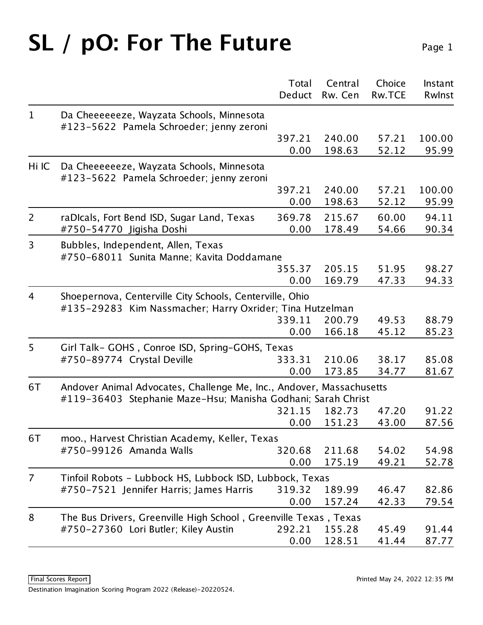## SL / pO: For The Future Page 1

|                |                                                                                                                      | Total<br>Deduct | Central<br>Rw. Cen | Choice<br><b>Rw.TCE</b> | Instant<br>Rwlnst |
|----------------|----------------------------------------------------------------------------------------------------------------------|-----------------|--------------------|-------------------------|-------------------|
| $\mathbf{1}$   | Da Cheeeeeeze, Wayzata Schools, Minnesota<br>#123-5622 Pamela Schroeder; jenny zeroni                                |                 |                    |                         |                   |
|                |                                                                                                                      | 397.21<br>0.00  | 240.00<br>198.63   | 57.21<br>52.12          | 100.00<br>95.99   |
| Hi IC          | Da Cheeeeeeze, Wayzata Schools, Minnesota<br>#123-5622 Pamela Schroeder; jenny zeroni                                |                 |                    |                         |                   |
|                |                                                                                                                      | 397.21          | 240.00             | 57.21                   | 100.00            |
|                |                                                                                                                      | 0.00            | 198.63             | 52.12                   | 95.99             |
| $\overline{2}$ | raDIcals, Fort Bend ISD, Sugar Land, Texas<br>#750-54770 Jigisha Doshi                                               | 369.78<br>0.00  | 215.67<br>178.49   | 60.00<br>54.66          | 94.11<br>90.34    |
| 3              | Bubbles, Independent, Allen, Texas<br>#750-68011 Sunita Manne; Kavita Doddamane                                      |                 |                    |                         |                   |
|                |                                                                                                                      | 355.37          | 205.15             | 51.95                   | 98.27             |
|                |                                                                                                                      | 0.00            | 169.79             | 47.33                   | 94.33             |
| 4              | Shoepernova, Centerville City Schools, Centerville, Ohio<br>#135-29283 Kim Nassmacher; Harry Oxrider; Tina Hutzelman |                 |                    |                         |                   |
|                |                                                                                                                      | 339.11          | 200.79             | 49.53                   | 88.79             |
|                |                                                                                                                      | 0.00            | 166.18             | 45.12                   | 85.23             |
| 5              | Girl Talk- GOHS, Conroe ISD, Spring-GOHS, Texas                                                                      |                 |                    |                         |                   |
|                | #750-89774 Crystal Deville                                                                                           | 333.31          | 210.06             | 38.17                   | 85.08             |
|                |                                                                                                                      | 0.00            | 173.85             | 34.77                   | 81.67             |
| 6T             | Andover Animal Advocates, Challenge Me, Inc., Andover, Massachusetts                                                 |                 |                    |                         |                   |
|                | #119-36403 Stephanie Maze-Hsu; Manisha Godhani; Sarah Christ                                                         |                 | 182.73             |                         | 91.22             |
|                |                                                                                                                      | 321.15<br>0.00  | 151.23             | 47.20<br>43.00          | 87.56             |
|                |                                                                                                                      |                 |                    |                         |                   |
| 6T             | moo., Harvest Christian Academy, Keller, Texas                                                                       |                 |                    |                         |                   |
|                | #750-99126 Amanda Walls                                                                                              | 320.68<br>0.00  | 211.68<br>175.19   | 54.02<br>49.21          | 54.98<br>52.78    |
|                |                                                                                                                      |                 |                    |                         |                   |
| 7              | Tinfoil Robots - Lubbock HS, Lubbock ISD, Lubbock, Texas                                                             |                 |                    |                         |                   |
|                | #750-7521 Jennifer Harris; James Harris                                                                              | 319.32<br>0.00  | 189.99<br>157.24   | 46.47<br>42.33          | 82.86<br>79.54    |
|                |                                                                                                                      |                 |                    |                         |                   |
| 8              | The Bus Drivers, Greenville High School, Greenville Texas, Texas                                                     |                 |                    |                         |                   |
|                | #750-27360 Lori Butler; Kiley Austin                                                                                 | 292.21          | 155.28             | 45.49                   | 91.44             |
|                |                                                                                                                      | 0.00            | 128.51             | 41.44                   | 87.77             |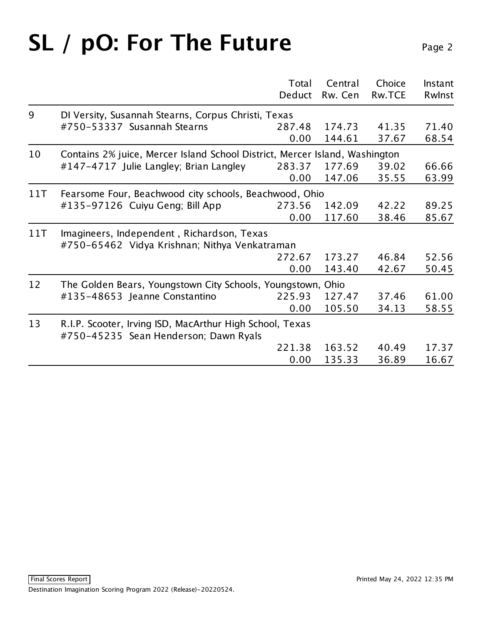# SL / pO: For The Future Page 2

| 9<br>DI Versity, Susannah Stearns, Corpus Christi, Texas<br>#750-53337 Susannah Stearns<br>41.35<br>287.48<br>174.73<br>0.00<br>144.61<br>37.67<br>10<br>Contains 2% juice, Mercer Island School District, Mercer Island, Washington<br>#147-4717 Julie Langley; Brian Langley<br>177.69<br>39.02<br>283.37<br>35.55<br>0.00<br>147.06<br>Fearsome Four, Beachwood city schools, Beachwood, Ohio<br>11T<br>#135-97126 Cuiyu Geng; Bill App<br>273.56<br>142.09<br>42.22<br>0.00<br>117.60<br>38.46<br>Imagineers, Independent, Richardson, Texas<br>11T<br>#750-65462 Vidya Krishnan; Nithya Venkatraman<br>272.67<br>173.27<br>46.84<br>0.00<br>143.40<br>42.67<br>12<br>The Golden Bears, Youngstown City Schools, Youngstown, Ohio<br>#135-48653 Jeanne Constantino<br>225.93<br>127.47<br>37.46<br>0.00<br>105.50<br>34.13<br>13<br>R.I.P. Scooter, Irving ISD, MacArthur High School, Texas<br>#750-45235 Sean Henderson; Dawn Ryals |  | Total  | Central | Choice        | Instant |  |  |
|-------------------------------------------------------------------------------------------------------------------------------------------------------------------------------------------------------------------------------------------------------------------------------------------------------------------------------------------------------------------------------------------------------------------------------------------------------------------------------------------------------------------------------------------------------------------------------------------------------------------------------------------------------------------------------------------------------------------------------------------------------------------------------------------------------------------------------------------------------------------------------------------------------------------------------------------|--|--------|---------|---------------|---------|--|--|
|                                                                                                                                                                                                                                                                                                                                                                                                                                                                                                                                                                                                                                                                                                                                                                                                                                                                                                                                           |  | Deduct | Rw. Cen | <b>Rw.TCE</b> | Rwlnst  |  |  |
|                                                                                                                                                                                                                                                                                                                                                                                                                                                                                                                                                                                                                                                                                                                                                                                                                                                                                                                                           |  |        |         |               |         |  |  |
|                                                                                                                                                                                                                                                                                                                                                                                                                                                                                                                                                                                                                                                                                                                                                                                                                                                                                                                                           |  |        |         |               | 71.40   |  |  |
|                                                                                                                                                                                                                                                                                                                                                                                                                                                                                                                                                                                                                                                                                                                                                                                                                                                                                                                                           |  |        |         |               | 68.54   |  |  |
|                                                                                                                                                                                                                                                                                                                                                                                                                                                                                                                                                                                                                                                                                                                                                                                                                                                                                                                                           |  |        |         |               |         |  |  |
|                                                                                                                                                                                                                                                                                                                                                                                                                                                                                                                                                                                                                                                                                                                                                                                                                                                                                                                                           |  |        |         |               | 66.66   |  |  |
|                                                                                                                                                                                                                                                                                                                                                                                                                                                                                                                                                                                                                                                                                                                                                                                                                                                                                                                                           |  |        |         |               | 63.99   |  |  |
|                                                                                                                                                                                                                                                                                                                                                                                                                                                                                                                                                                                                                                                                                                                                                                                                                                                                                                                                           |  |        |         |               |         |  |  |
|                                                                                                                                                                                                                                                                                                                                                                                                                                                                                                                                                                                                                                                                                                                                                                                                                                                                                                                                           |  |        |         |               | 89.25   |  |  |
|                                                                                                                                                                                                                                                                                                                                                                                                                                                                                                                                                                                                                                                                                                                                                                                                                                                                                                                                           |  |        |         |               | 85.67   |  |  |
|                                                                                                                                                                                                                                                                                                                                                                                                                                                                                                                                                                                                                                                                                                                                                                                                                                                                                                                                           |  |        |         |               |         |  |  |
|                                                                                                                                                                                                                                                                                                                                                                                                                                                                                                                                                                                                                                                                                                                                                                                                                                                                                                                                           |  |        |         |               |         |  |  |
|                                                                                                                                                                                                                                                                                                                                                                                                                                                                                                                                                                                                                                                                                                                                                                                                                                                                                                                                           |  |        |         |               | 52.56   |  |  |
|                                                                                                                                                                                                                                                                                                                                                                                                                                                                                                                                                                                                                                                                                                                                                                                                                                                                                                                                           |  |        |         |               | 50.45   |  |  |
|                                                                                                                                                                                                                                                                                                                                                                                                                                                                                                                                                                                                                                                                                                                                                                                                                                                                                                                                           |  |        |         |               |         |  |  |
|                                                                                                                                                                                                                                                                                                                                                                                                                                                                                                                                                                                                                                                                                                                                                                                                                                                                                                                                           |  |        |         |               | 61.00   |  |  |
|                                                                                                                                                                                                                                                                                                                                                                                                                                                                                                                                                                                                                                                                                                                                                                                                                                                                                                                                           |  |        |         |               | 58.55   |  |  |
|                                                                                                                                                                                                                                                                                                                                                                                                                                                                                                                                                                                                                                                                                                                                                                                                                                                                                                                                           |  |        |         |               |         |  |  |
|                                                                                                                                                                                                                                                                                                                                                                                                                                                                                                                                                                                                                                                                                                                                                                                                                                                                                                                                           |  |        |         |               |         |  |  |
|                                                                                                                                                                                                                                                                                                                                                                                                                                                                                                                                                                                                                                                                                                                                                                                                                                                                                                                                           |  | 221.38 | 163.52  | 40.49         | 17.37   |  |  |
| 0.00<br>135.33<br>36.89                                                                                                                                                                                                                                                                                                                                                                                                                                                                                                                                                                                                                                                                                                                                                                                                                                                                                                                   |  |        |         |               | 16.67   |  |  |